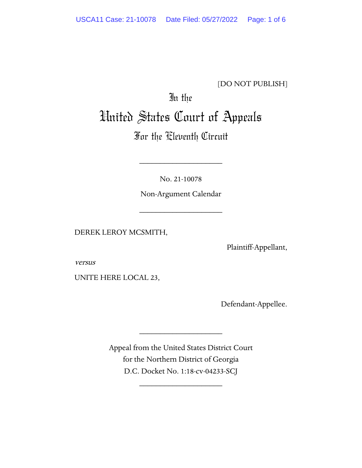### [DO NOT PUBLISH]

# In the United States Court of Appeals

## For the Eleventh Circuit

No. 21-10078

\_\_\_\_\_\_\_\_\_\_\_\_\_\_\_\_\_\_\_\_

Non-Argument Calendar

\_\_\_\_\_\_\_\_\_\_\_\_\_\_\_\_\_\_\_\_

DEREK LEROY MCSMITH,

Plaintiff-Appellant,

versus

UNITE HERE LOCAL 23,

Defendant-Appellee.

Appeal from the United States District Court for the Northern District of Georgia D.C. Docket No. 1:18-cv-04233-SCJ

\_\_\_\_\_\_\_\_\_\_\_\_\_\_\_\_\_\_\_\_

\_\_\_\_\_\_\_\_\_\_\_\_\_\_\_\_\_\_\_\_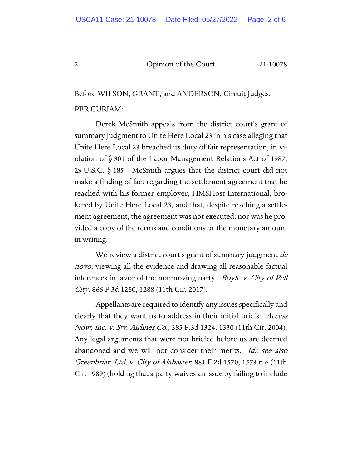2 Opinion of the Court 21-10078

Before WILSON, GRANT, and ANDERSON, Circuit Judges. PER CURIAM:

Derek McSmith appeals from the district court's grant of summary judgment to Unite Here Local 23 in his case alleging that Unite Here Local 23 breached its duty of fair representation, in violation of § 301 of the Labor Management Relations Act of 1987, 29 U.S.C. § 185. McSmith argues that the district court did not make a finding of fact regarding the settlement agreement that he reached with his former employer, HMSHost International, brokered by Unite Here Local 23, and that, despite reaching a settlement agreement, the agreement was not executed, nor was he provided a copy of the terms and conditions or the monetary amount in writing.

We review a district court's grant of summary judgment de novo, viewing all the evidence and drawing all reasonable factual inferences in favor of the nonmoving party. Boyle v. City of Pell City, 866 F.3d 1280, 1288 (11th Cir. 2017).

Appellants are required to identify any issues specifically and clearly that they want us to address in their initial briefs. Access Now, Inc. v. Sw. Airlines Co., 385 F.3d 1324, 1330 (11th Cir. 2004). Any legal arguments that were not briefed before us are deemed abandoned and we will not consider their merits. Id.; see also Greenbriar, Ltd. v. City of Alabaster, 881 F.2d 1570, 1573 n.6 (11th Cir. 1989) (holding that a party waives an issue by failing to include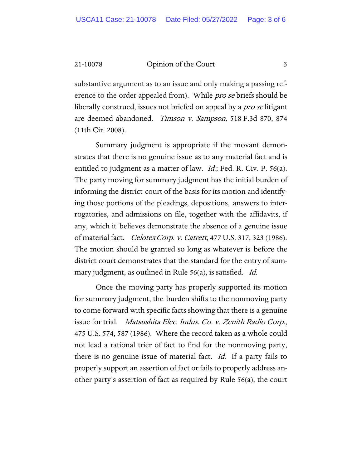21-10078 Opinion of the Court 3

substantive argument as to an issue and only making a passing reference to the order appealed from). While *pro se* briefs should be liberally construed, issues not briefed on appeal by a *pro se* litigant are deemed abandoned. [Timson v. Sampson,](https://1.next.westlaw.com/Link/Document/FullText?findType=Y&serNum=2015343361&pubNum=0000506&originatingDoc=Id75d9e82cd1f11ddb5cbad29a280d47c&refType=RP&fi=co_pp_sp_506_874&originationContext=document&transitionType=DocumentItem&contextData=(sc.History*oc.Search+Result)#co_pp_sp_506_874) 518 F.3d 870, 874 [\(11th Cir.](https://1.next.westlaw.com/Link/Document/FullText?findType=Y&serNum=2015343361&pubNum=0000506&originatingDoc=Id75d9e82cd1f11ddb5cbad29a280d47c&refType=RP&fi=co_pp_sp_506_874&originationContext=document&transitionType=DocumentItem&contextData=(sc.History*oc.Search+Result)#co_pp_sp_506_874) 2008).

Summary judgment is appropriate if the movant demonstrates that there is no genuine issue as to any material fact and is entitled to judgment as a matter of law.  $Id$ ; Fed. R. Civ. P. 56(a). The party moving for summary judgment has the initial burden of informing the district court of the basis for its motion and identifying those portions of the pleadings, depositions, answers to interrogatories, and admissions on file, together with the affidavits, if any, which it believes demonstrate the absence of a genuine issue of material fact. Celotex Corp. v. Catrett, 477 U.S. 317, 323 (1986). The motion should be granted so long as whatever is before the district court demonstrates that the standard for the entry of summary judgment, as outlined in Rule 56(a), is satisfied. *Id.* 

Once the moving party has properly supported its motion for summary judgment, the burden shifts to the nonmoving party to come forward with specific facts showing that there is a genuine issue for trial. Matsushita Elec. Indus. Co. v. Zenith Radio Corp., 475 U.S. 574, 587 (1986). Where the record taken as a whole could not lead a rational trier of fact to find for the nonmoving party, there is no genuine issue of material fact. *Id.* If a party fails to properly support an assertion of fact or fails to properly address another party's assertion of fact as required by Rule 56(a), the court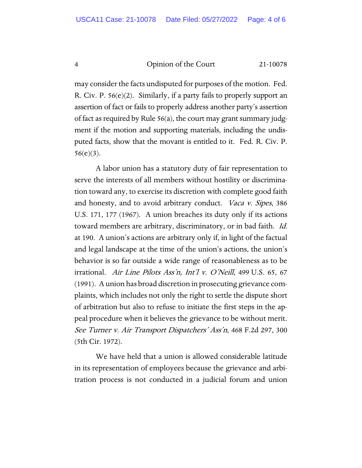#### 4 Opinion of the Court 21-10078

may consider the facts undisputed for purposes of the motion. Fed. R. Civ. P.  $56(e)(2)$ . Similarly, if a party fails to properly support an assertion of fact or fails to properly address another party's assertion of fact as required by Rule 56(a), the court may grant summary judgment if the motion and supporting materials, including the undisputed facts, show that the movant is entitled to it. Fed. R. Civ. P. 56(e)(3).

A labor union has a statutory duty of fair representation to serve the interests of all members without hostility or discrimination toward any, to exercise its discretion with complete good faith and honesty, and to avoid arbitrary conduct. Vaca v. Sipes, 386 U.S. 171, 177 (1967). A union breaches its duty only if its actions toward members are arbitrary, discriminatory, or in bad faith. Id. at 190. A union's actions are arbitrary only if, in light of the factual and legal landscape at the time of the union's actions, the union's behavior is so far outside a wide range of reasonableness as to be irrational. Air Line Pilots Ass'n, Int'l v. O'Neill, 499 U.S. 65, 67 (1991). A union has broad discretion in prosecuting grievance complaints, which includes not only the right to settle the dispute short of arbitration but also to refuse to initiate the first steps in the appeal procedure when it believes the grievance to be without merit. See Turner v. Air Transport Dispatchers' Ass'n, 468 F.2d 297, 300 (5th Cir. 1972).

We have held that a union is allowed considerable latitude in its representation of employees because the grievance and arbitration process is not conducted in a judicial forum and union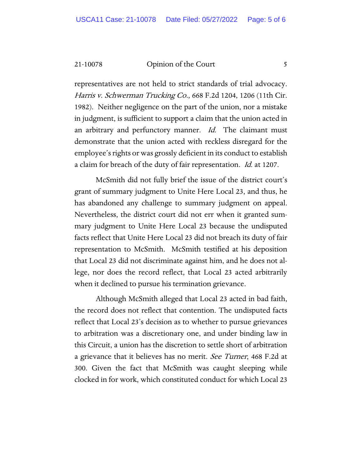21-10078 Opinion of the Court 5

representatives are not held to strict standards of trial advocacy. Harris v. Schwerman Trucking Co., 668 F.2d 1204, 1206 (11th Cir. 1982). Neither negligence on the part of the union, nor a mistake in judgment, is sufficient to support a claim that the union acted in an arbitrary and perfunctory manner. Id. The claimant must demonstrate that the union acted with reckless disregard for the employee's rights or was grossly deficient in its conduct to establish a claim for breach of the duty of fair representation. *Id.* at 1207.

McSmith did not fully brief the issue of the district court's grant of summary judgment to Unite Here Local 23, and thus, he has abandoned any challenge to summary judgment on appeal. Nevertheless, the district court did not err when it granted summary judgment to Unite Here Local 23 because the undisputed facts reflect that Unite Here Local 23 did not breach its duty of fair representation to McSmith. McSmith testified at his deposition that Local 23 did not discriminate against him, and he does not allege, nor does the record reflect, that Local 23 acted arbitrarily when it declined to pursue his termination grievance.

Although McSmith alleged that Local 23 acted in bad faith, the record does not reflect that contention. The undisputed facts reflect that Local 23's decision as to whether to pursue grievances to arbitration was a discretionary one, and under binding law in this Circuit, a union has the discretion to settle short of arbitration a grievance that it believes has no merit. *See Turner*, 468 F.2d at 300. Given the fact that McSmith was caught sleeping while clocked in for work, which constituted conduct for which Local 23